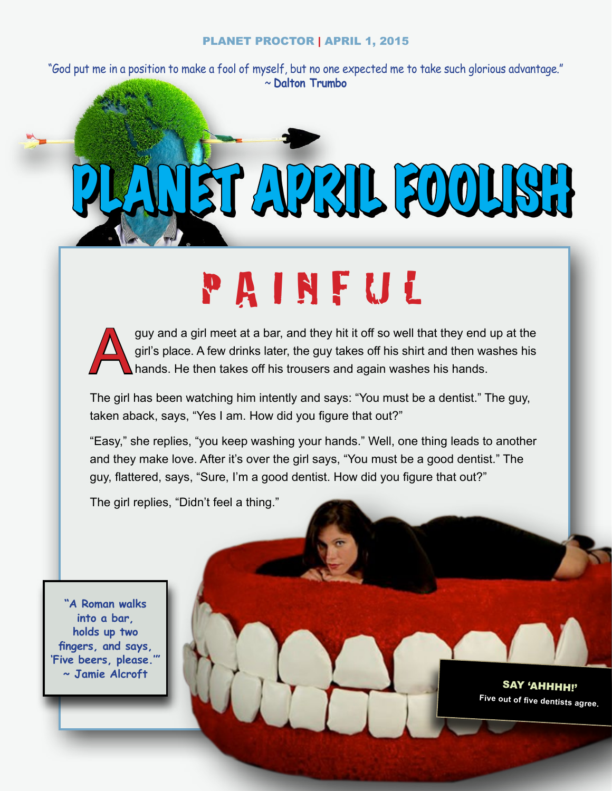"God put me in a position to make a fool of myself, but no one expected me to take such glorious advantage." ~ **Dalton Trumbo**

PLANET APRIL FOOLISH

# PAINFUL

guy and a girl meet at a bar, and they hit it off so well that they end up at the girl's place. A few drinks later, the guy takes off his shirt and then washes his hands. He then takes off his trousers and again washes his girl's place. A few drinks later, the guy takes off his shirt and then washes his hands. He then takes off his trousers and again washes his hands.

The girl has been watching him intently and says: "You must be a dentist." The guy, taken aback, says, "Yes I am. How did you figure that out?"

"Easy," she replies, "you keep washing your hands." Well, one thing leads to another and they make love. After it's over the girl says, "You must be a good dentist." The guy, flattered, says, "Sure, I'm a good dentist. How did you figure that out?"

The girl replies, "Didn't feel a thing."

**"A Roman walks into a bar, holds up two fingers, and says, 'Five beers, please.'" ~ Jamie Alcroft**

SAY 'AHHHH!'**Five out of five dentists agree.**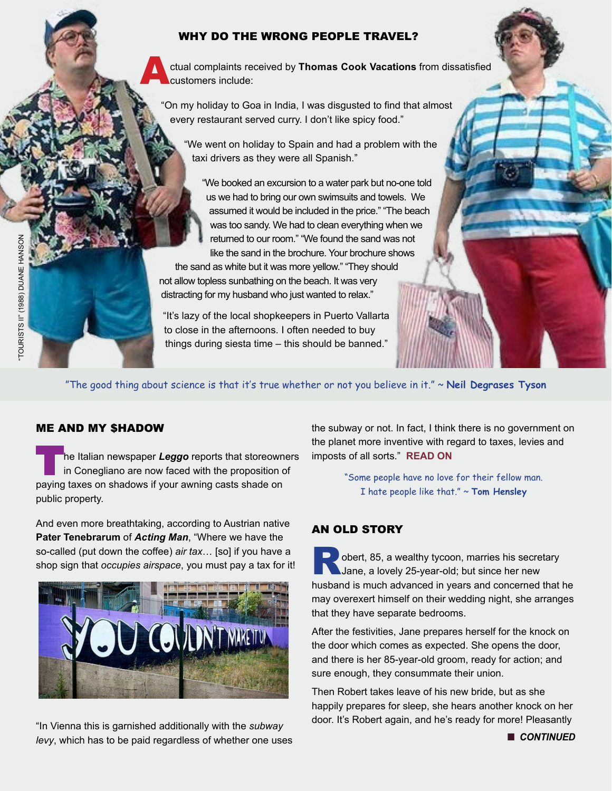#### WHY DO THE WRONG PEOPLE TRAVEL?

Actual complaints received by **Thomas Cook Vacations** from dissatisfied customers include:

"On my holiday to Goa in India, I was disgusted to find that almost every restaurant served curry. I don't like spicy food."

"We went on holiday to Spain and had a problem with the taxi drivers as they were all Spanish."

"We booked an excursion to a water park but no-one told us we had to bring our own swimsuits and towels. We assumed it would be included in the price." "The beach was too sandy. We had to clean everything when we returned to our room." "We found the sand was not like the sand in the brochure. Your brochure shows

the sand as white but it was more yellow." "They should not allow topless sunbathing on the beach. It was very distracting for my husband who just wanted to relax."

"It's lazy of the local shopkeepers in Puerto Vallarta to close in the afternoons. I often needed to buy things during siesta time – this should be banned."

"The good thing about science is that it's true whether or not you believe in it." ~ **Neil Degrases Tyson**

#### ME AND MY \$HADOW

The Italian newspaper *Leggo* reports that storeowners in Conegliano are now faced with the proposition of paying taxes on shadows if your awning casts shade on public property.

And even more breathtaking, according to Austrian native **Pater Tenebrarum** of *Acting Man*, "Where we have the so-called (put down the coffee) *air tax*… [so] if you have a shop sign that *occupies airspace*, you must pay a tax for it!



"In Vienna this is garnished additionally with the *subway levy*, which has to be paid regardless of whether one uses the subway or not. In fact, I think there is no government on the planet more inventive with regard to taxes, levies and imposts of all sorts." **[READ ON](http://globaleconomicanalysis.blogspot.com/2015/03/evolution-of-taxes-italy-taxes-shadows.html#XSZBPxASCoFmrQcV.99)**

> "Some people have no love for their fellow man. I hate people like that." ~ **Tom Hensley**

#### AN OLD STORY

Dobert, 85, a wealthy tycoon, marries his secretary Jane, a lovely 25-year-old; but since her new husband is much advanced in years and concerned that he may overexert himself on their wedding night, she arranges that they have separate bedrooms.

After the festivities, Jane prepares herself for the knock on the door which comes as expected. She opens the door, and there is her 85-year-old groom, ready for action; and sure enough, they consummate their union.

Then Robert takes leave of his new bride, but as she happily prepares for sleep, she hears another knock on her door. It's Robert again, and he's ready for more! Pleasantly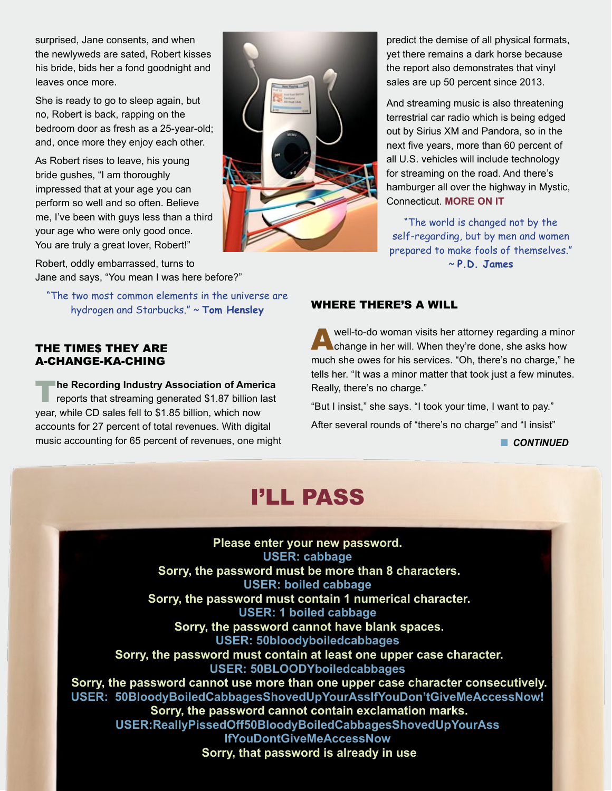surprised, Jane consents, and when the newlyweds are sated, Robert kisses his bride, bids her a fond goodnight and leaves once more.

She is ready to go to sleep again, but no, Robert is back, rapping on the bedroom door as fresh as a 25-year-old; and, once more they enjoy each other.

As Robert rises to leave, his young bride gushes, "I am thoroughly impressed that at your age you can perform so well and so often. Believe me, I've been with guys less than a third your age who were only good once. You are truly a great lover, Robert!"

Robert, oddly embarrassed, turns to Jane and says, "You mean I was here before?"

"The two most common elements in the universe are hydrogen and Starbucks." ~ **Tom Hensley**

#### THE TIME\$ THEY ARE A-CHANGE-KA-CHING

**The Recording Industry Association of America** reports that streaming generated \$1.87 billion last year, while CD sales fell to \$1.85 billion, which now accounts for 27 percent of total revenues. With digital music accounting for 65 percent of revenues, one might



predict the demise of all physical formats, yet there remains a dark horse because the report also demonstrates that vinyl sales are up 50 percent since 2013.

And streaming music is also threatening terrestrial car radio which is being edged out by Sirius XM and Pandora, so in the next five years, more than 60 percent of all U.S. vehicles will include technology for streaming on the road. And there's hamburger all over the highway in Mystic, Connecticut. **[MORE ON IT](http://www.smithsonianmag.com/smart-news/numbers-dont-lie-cd-really-dead-180954684/#dlEVmVATtacqob4C.99)**

"The world is changed not by the self-regarding, but by men and women prepared to make fools of themselves." ~ **P.D. James**

#### WHERE THERE'S A WILL

Awell-to-do woman visits her attorney regarding a minor change in her will. When they're done, she asks how much she owes for his services. "Oh, there's no charge," he tells her. "It was a minor matter that took just a few minutes. Really, there's no charge."

"But I insist," she says. "I took your time, I want to pay."

After several rounds of "there's no charge" and "I insist"

**n** CONTINUED

### I'LL PASS

**Please enter your new password. USER: cabbage Sorry, the password must be more than 8 characters. USER: boiled cabbage Sorry, the password must contain 1 numerical character. USER: 1 boiled cabbage Sorry, the password cannot have blank spaces. USER: 50bloodyboiledcabbages Sorry, the password must contain at least one upper case character. USER: 50BLOODYboiledcabbages Sorry, the password cannot use more than one upper case character consecutively. USER: 50BloodyBoiledCabbagesShovedUpYourAssIfYouDon'tGiveMeAccessNow! Sorry, the password cannot contain exclamation marks. USER:ReallyPissedOff50BloodyBoiledCabbagesShovedUpYourAss IfYouDontGiveMeAccessNow Sorry, that password is already in use**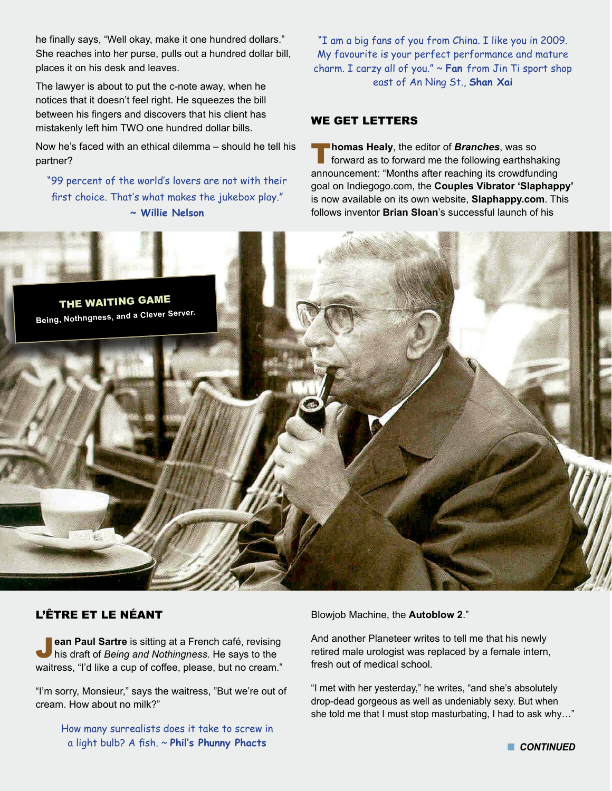he finally says, "Well okay, make it one hundred dollars." She reaches into her purse, pulls out a hundred dollar bill, places it on his desk and leaves.

The lawyer is about to put the c-note away, when he notices that it doesn't feel right. He squeezes the bill between his fingers and discovers that his client has mistakenly left him TWO one hundred dollar bills.

Now he's faced with an ethical dilemma – should he tell his partner?

"99 percent of the world's lovers are not with their first choice. That's what makes the jukebox play." **~ Willie Nelson**

#### "I am a big fans of you from China. I like you in 2009. My favourite is your perfect performance and mature charm. I carzy all of you." ~ **Fan** from Jin Ti sport shop east of An Ning St., **Shan Xai**

#### WE GET LETTERS

**Thomas Healy**, the editor of **Branches**, was so forward as to forward me the following earthshaking announcement: "Months after reaching its crowdfunding goal on Indiegogo.com, the **Couples Vibrator 'Slaphappy'** is now available on its own website, **Slaphappy.com**. This follows inventor **Brian Sloan**'s successful launch of his



#### L'ÊTRE ET LE NÉANT

**Jean Paul Sartre** is sitting at a French café, revising his draft of *Being and Nothingness*. He says to the waitress, "I'd like a cup of coffee, please, but no cream."

"I'm sorry, Monsieur," says the waitress, "But we're out of cream. How about no milk?"

> How many surrealists does it take to screw in a light bulb? A fish. ~ **Phil's Phunny Phacts**

Blowjob Machine, the **Autoblow 2**."

And another Planeteer writes to tell me that his newly retired male urologist was replaced by a female intern, fresh out of medical school.

"I met with her yesterday," he writes, "and she's absolutely drop-dead gorgeous as well as undeniably sexy. But when she told me that I must stop masturbating, I had to ask why…"

**n** CONTINUED